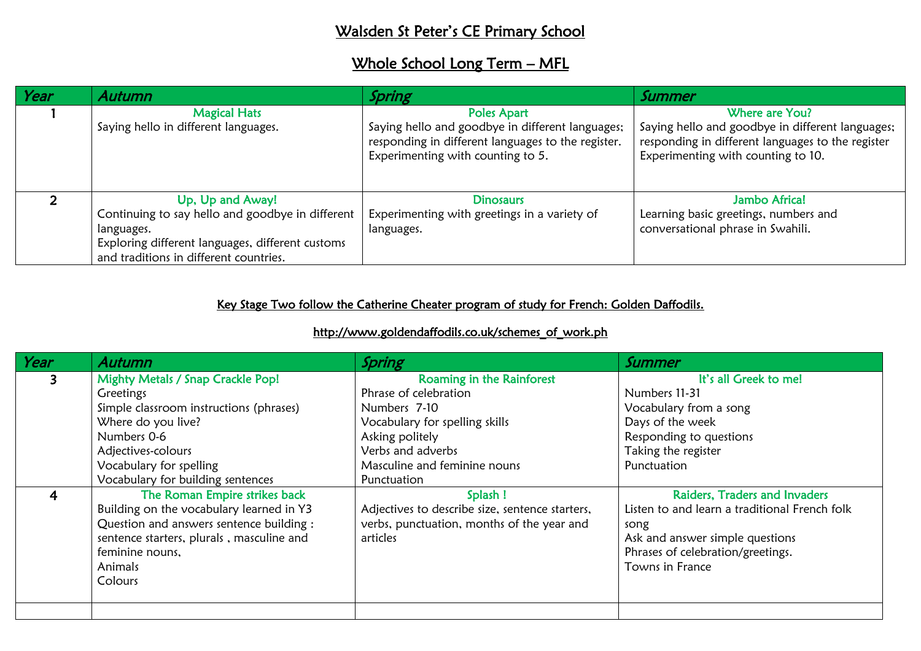## Walsden St Peter's CE Primary School

## Whole School Long Term - MFL

| Year | Autumn                                                                                                                                                                           | Spring                                                                                                                                                            | Summer                                                                                                                                                        |
|------|----------------------------------------------------------------------------------------------------------------------------------------------------------------------------------|-------------------------------------------------------------------------------------------------------------------------------------------------------------------|---------------------------------------------------------------------------------------------------------------------------------------------------------------|
|      | <b>Magical Hats</b><br>Saying hello in different languages.                                                                                                                      | <b>Poles Apart</b><br>Saying hello and goodbye in different languages;<br>responding in different languages to the register.<br>Experimenting with counting to 5. | Where are You?<br>Saying hello and goodbye in different languages;<br>responding in different languages to the register<br>Experimenting with counting to 10. |
|      | Up, Up and Away!<br>Continuing to say hello and goodbye in different<br>languages.<br>Exploring different languages, different customs<br>and traditions in different countries. | <b>Dinosaurs</b><br>Experimenting with greetings in a variety of<br>languages.                                                                                    | Jambo Africa!<br>Learning basic greetings, numbers and<br>conversational phrase in Swahili.                                                                   |

## Key Stage Two follow the Catherine Cheater program of study for French: Golden Daffodils.

## http://www.goldendaffodils.co.uk/schemes\_of\_work.ph

| Year           | <b>Autumn</b>                             | Spring                                          | Summer                                        |
|----------------|-------------------------------------------|-------------------------------------------------|-----------------------------------------------|
| 3 <sup>1</sup> | Mighty Metals / Snap Crackle Pop!         | Roaming in the Rainforest                       | It's all Greek to me!                         |
|                | Greetings                                 | Phrase of celebration                           | Numbers 11-31                                 |
|                | Simple classroom instructions (phrases)   | Numbers 7-10                                    | Vocabulary from a song                        |
|                | Where do you live?                        | Vocabulary for spelling skills                  | Days of the week                              |
|                | Numbers 0-6                               | Asking politely                                 | Responding to questions                       |
|                | Adjectives-colours                        | Verbs and adverbs                               | Taking the register                           |
|                | Vocabulary for spelling                   | Masculine and feminine nouns                    | Punctuation                                   |
|                | Vocabulary for building sentences         | Punctuation                                     |                                               |
| 4              | The Roman Empire strikes back             | Splash !                                        | Raiders, Traders and Invaders                 |
|                | Building on the vocabulary learned in Y3  | Adjectives to describe size, sentence starters, | Listen to and learn a traditional French folk |
|                | Question and answers sentence building :  | verbs, punctuation, months of the year and      | song                                          |
|                | sentence starters, plurals, masculine and | articles                                        | Ask and answer simple questions               |
|                | feminine nouns,                           |                                                 | Phrases of celebration/greetings.             |
|                | Animals                                   |                                                 | Towns in France                               |
|                | Colours                                   |                                                 |                                               |
|                |                                           |                                                 |                                               |
|                |                                           |                                                 |                                               |